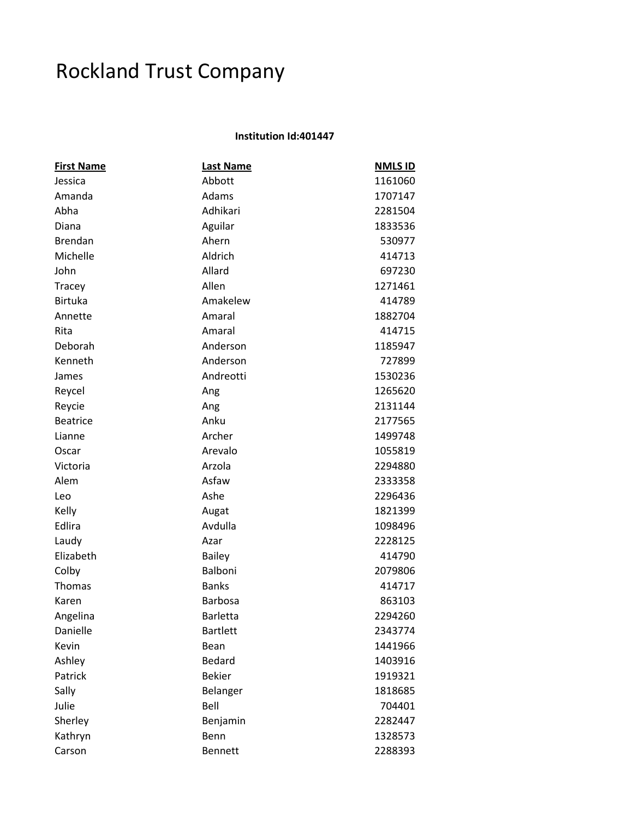## Rockland Trust Company

## **Institution Id:401447**

| <b>First Name</b> | <b>Last Name</b> | <b>NMLS ID</b> |
|-------------------|------------------|----------------|
| Jessica           | Abbott           | 1161060        |
| Amanda            | Adams            | 1707147        |
| Abha              | Adhikari         | 2281504        |
| Diana             | Aguilar          | 1833536        |
| <b>Brendan</b>    | Ahern            | 530977         |
| Michelle          | Aldrich          | 414713         |
| John              | Allard           | 697230         |
| Tracey            | Allen            | 1271461        |
| <b>Birtuka</b>    | Amakelew         | 414789         |
| Annette           | Amaral           | 1882704        |
| Rita              | Amaral           | 414715         |
| Deborah           | Anderson         | 1185947        |
| Kenneth           | Anderson         | 727899         |
| James             | Andreotti        | 1530236        |
| Reycel            | Ang              | 1265620        |
| Reycie            | Ang              | 2131144        |
| <b>Beatrice</b>   | Anku             | 2177565        |
| Lianne            | Archer           | 1499748        |
| Oscar             | Arevalo          | 1055819        |
| Victoria          | Arzola           | 2294880        |
| Alem              | Asfaw            | 2333358        |
| Leo               | Ashe             | 2296436        |
| Kelly             | Augat            | 1821399        |
| Edlira            | Avdulla          | 1098496        |
| Laudy             | Azar             | 2228125        |
| Elizabeth         | <b>Bailey</b>    | 414790         |
| Colby             | Balboni          | 2079806        |
| Thomas            | <b>Banks</b>     | 414717         |
| Karen             | Barbosa          | 863103         |
| Angelina          | <b>Barletta</b>  | 2294260        |
| Danielle          | <b>Bartlett</b>  | 2343774        |
| Kevin             | Bean             | 1441966        |
| Ashley            | Bedard           | 1403916        |
| Patrick           | <b>Bekier</b>    | 1919321        |
| Sally             | Belanger         | 1818685        |
| Julie             | Bell             | 704401         |
| Sherley           | Benjamin         | 2282447        |
| Kathryn           | Benn             | 1328573        |
| Carson            | <b>Bennett</b>   | 2288393        |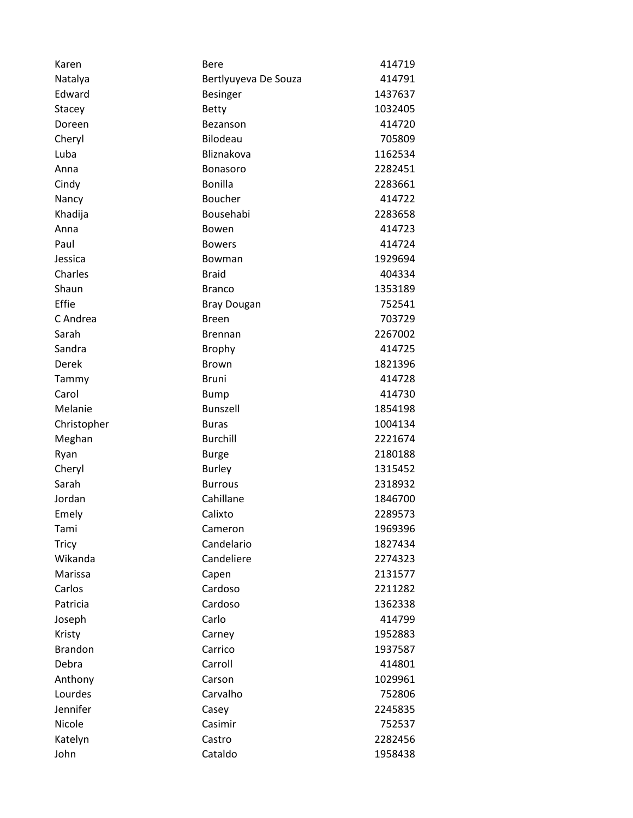| Karen          | Bere                 | 414719  |
|----------------|----------------------|---------|
| Natalya        | Bertlyuyeva De Souza | 414791  |
| Edward         | <b>Besinger</b>      | 1437637 |
| Stacey         | <b>Betty</b>         | 1032405 |
| Doreen         | Bezanson             | 414720  |
| Cheryl         | Bilodeau             | 705809  |
| Luba           | Bliznakova           | 1162534 |
| Anna           | <b>Bonasoro</b>      | 2282451 |
| Cindy          | <b>Bonilla</b>       | 2283661 |
| Nancy          | <b>Boucher</b>       | 414722  |
| Khadija        | Bousehabi            | 2283658 |
| Anna           | Bowen                | 414723  |
| Paul           | <b>Bowers</b>        | 414724  |
| Jessica        | Bowman               | 1929694 |
| Charles        | <b>Braid</b>         | 404334  |
| Shaun          | <b>Branco</b>        | 1353189 |
| Effie          | <b>Bray Dougan</b>   | 752541  |
| C Andrea       | <b>Breen</b>         | 703729  |
| Sarah          | <b>Brennan</b>       | 2267002 |
| Sandra         | <b>Brophy</b>        | 414725  |
| Derek          | <b>Brown</b>         | 1821396 |
| Tammy          | <b>Bruni</b>         | 414728  |
| Carol          | <b>Bump</b>          | 414730  |
| Melanie        | Bunszell             | 1854198 |
| Christopher    | <b>Buras</b>         | 1004134 |
| Meghan         | <b>Burchill</b>      | 2221674 |
| Ryan           | <b>Burge</b>         | 2180188 |
| Cheryl         | <b>Burley</b>        | 1315452 |
| Sarah          | <b>Burrous</b>       | 2318932 |
| Jordan         | Cahillane            | 1846700 |
| Emely          | Calixto              | 2289573 |
| Tami           | Cameron              | 1969396 |
| <b>Tricy</b>   | Candelario           | 1827434 |
| Wikanda        | Candeliere           | 2274323 |
| Marissa        | Capen                | 2131577 |
| Carlos         | Cardoso              | 2211282 |
| Patricia       | Cardoso              | 1362338 |
| Joseph         | Carlo                | 414799  |
| Kristy         | Carney               | 1952883 |
| <b>Brandon</b> | Carrico              | 1937587 |
| Debra          | Carroll              | 414801  |
| Anthony        | Carson               | 1029961 |
| Lourdes        | Carvalho             | 752806  |
| Jennifer       | Casey                | 2245835 |
| Nicole         | Casimir              | 752537  |
| Katelyn        | Castro               | 2282456 |
| John           | Cataldo              | 1958438 |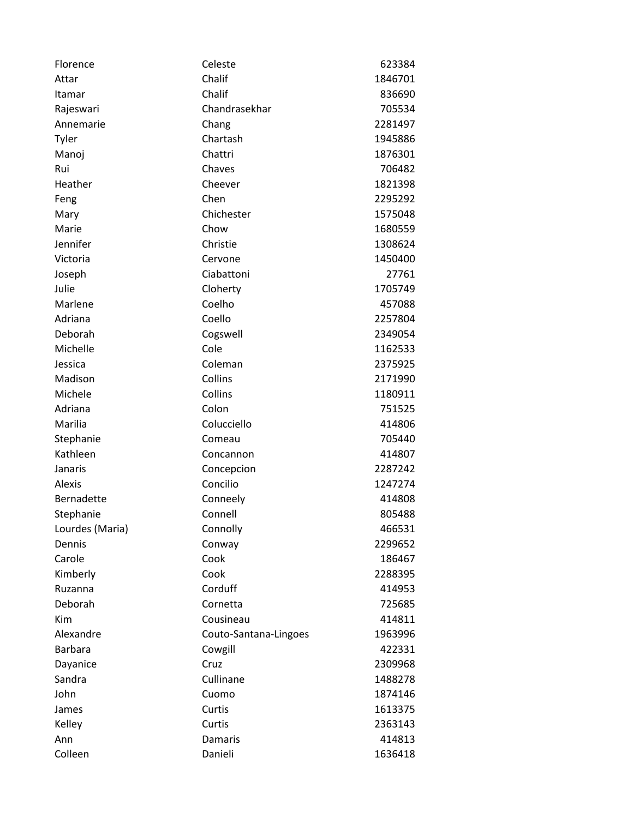| Florence        | Celeste               | 623384  |
|-----------------|-----------------------|---------|
| Attar           | Chalif                | 1846701 |
| Itamar          | Chalif                | 836690  |
| Rajeswari       | Chandrasekhar         | 705534  |
| Annemarie       | Chang                 | 2281497 |
| Tyler           | Chartash              | 1945886 |
| Manoj           | Chattri               | 1876301 |
| Rui             | Chaves                | 706482  |
| Heather         | Cheever               | 1821398 |
| Feng            | Chen                  | 2295292 |
| Mary            | Chichester            | 1575048 |
| Marie           | Chow                  | 1680559 |
| Jennifer        | Christie              | 1308624 |
| Victoria        | Cervone               | 1450400 |
| Joseph          | Ciabattoni            | 27761   |
| Julie           | Cloherty              | 1705749 |
| Marlene         | Coelho                | 457088  |
| Adriana         | Coello                | 2257804 |
| Deborah         | Cogswell              | 2349054 |
| Michelle        | Cole                  | 1162533 |
| Jessica         | Coleman               | 2375925 |
| Madison         | Collins               | 2171990 |
| Michele         | Collins               | 1180911 |
| Adriana         | Colon                 | 751525  |
| Marilia         | Colucciello           | 414806  |
| Stephanie       | Comeau                | 705440  |
| Kathleen        | Concannon             | 414807  |
| Janaris         | Concepcion            | 2287242 |
| <b>Alexis</b>   | Concilio              | 1247274 |
| Bernadette      | Conneely              | 414808  |
| Stephanie       | Connell               | 805488  |
| Lourdes (Maria) | Connolly              | 466531  |
| Dennis          | Conway                | 2299652 |
| Carole          | Cook                  | 186467  |
| Kimberly        | Cook                  | 2288395 |
| Ruzanna         | Corduff               | 414953  |
| Deborah         | Cornetta              | 725685  |
| Kim             | Cousineau             | 414811  |
| Alexandre       | Couto-Santana-Lingoes | 1963996 |
| <b>Barbara</b>  | Cowgill               | 422331  |
| Dayanice        | Cruz                  | 2309968 |
| Sandra          | Cullinane             | 1488278 |
| John            | Cuomo                 | 1874146 |
| James           | Curtis                | 1613375 |
| Kelley          | Curtis                | 2363143 |
| Ann             | Damaris               | 414813  |
| Colleen         | Danieli               | 1636418 |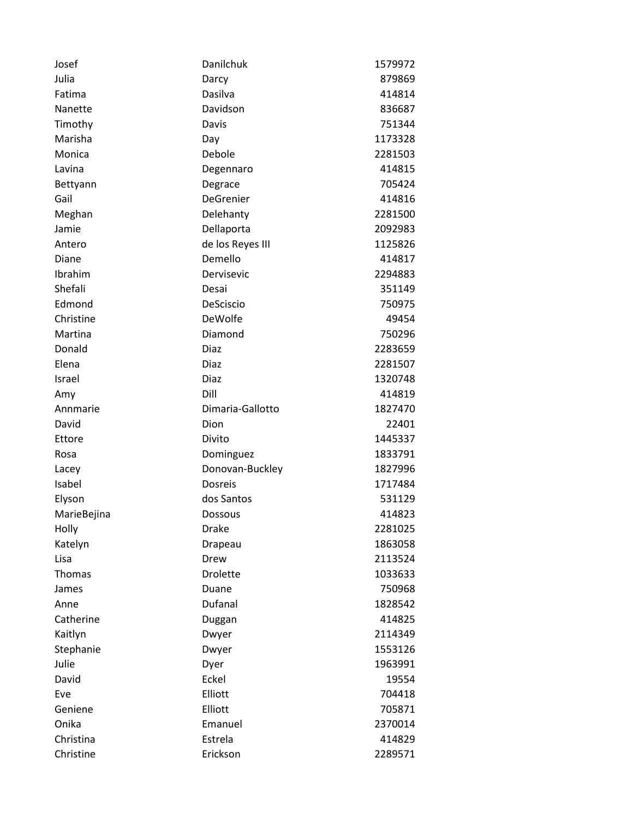| Josef       | Danilchuk        | 1579972 |
|-------------|------------------|---------|
| Julia       | Darcy            | 879869  |
| Fatima      | Dasilva          | 414814  |
| Nanette     | Davidson         | 836687  |
| Timothy     | Davis            | 751344  |
| Marisha     | Day              | 1173328 |
| Monica      | Debole           | 2281503 |
| Lavina      | Degennaro        | 414815  |
| Bettyann    | Degrace          | 705424  |
| Gail        | DeGrenier        | 414816  |
| Meghan      | Delehanty        | 2281500 |
| Jamie       | Dellaporta       | 2092983 |
| Antero      | de los Reyes III | 1125826 |
| Diane       | Demello          | 414817  |
| Ibrahim     | Dervisevic       | 2294883 |
| Shefali     | Desai            | 351149  |
| Edmond      | DeSciscio        | 750975  |
| Christine   | DeWolfe          | 49454   |
| Martina     | Diamond          | 750296  |
| Donald      | Diaz             | 2283659 |
| Elena       | Diaz             | 2281507 |
| Israel      | Diaz             | 1320748 |
| Amy         | Dill             | 414819  |
| Annmarie    | Dimaria-Gallotto | 1827470 |
| David       | Dion             | 22401   |
| Ettore      | Divito           | 1445337 |
| Rosa        | Dominguez        | 1833791 |
| Lacey       | Donovan-Buckley  | 1827996 |
| Isabel      | <b>Dosreis</b>   | 1717484 |
| Elyson      | dos Santos       | 531129  |
| MarieBejina | Dossous          | 414823  |
| Holly       | <b>Drake</b>     | 2281025 |
| Katelyn     | Drapeau          | 1863058 |
| Lisa        | Drew             | 2113524 |
| Thomas      | <b>Drolette</b>  | 1033633 |
| James       | Duane            | 750968  |
| Anne        | Dufanal          | 1828542 |
| Catherine   | Duggan           | 414825  |
| Kaitlyn     | Dwyer            | 2114349 |
| Stephanie   | Dwyer            | 1553126 |
| Julie       | Dyer             | 1963991 |
| David       | Eckel            | 19554   |
| Eve         | Elliott          | 704418  |
| Geniene     | Elliott          | 705871  |
| Onika       | Emanuel          | 2370014 |
| Christina   | Estrela          | 414829  |
| Christine   | Erickson         | 2289571 |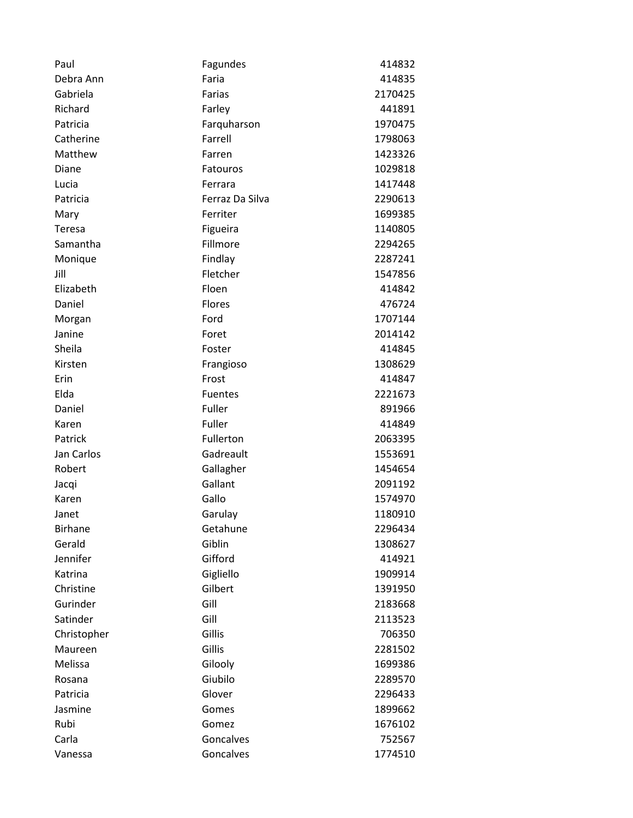| Paul           | Fagundes        | 414832  |
|----------------|-----------------|---------|
| Debra Ann      | Faria           | 414835  |
| Gabriela       | Farias          | 2170425 |
| Richard        | Farley          | 441891  |
| Patricia       | Farquharson     | 1970475 |
| Catherine      | Farrell         | 1798063 |
| Matthew        | Farren          | 1423326 |
| Diane          | Fatouros        | 1029818 |
| Lucia          | Ferrara         | 1417448 |
| Patricia       | Ferraz Da Silva | 2290613 |
| Mary           | Ferriter        | 1699385 |
| Teresa         | Figueira        | 1140805 |
| Samantha       | Fillmore        | 2294265 |
| Monique        | Findlay         | 2287241 |
| Jill           | Fletcher        | 1547856 |
| Elizabeth      | Floen           | 414842  |
| Daniel         | Flores          | 476724  |
| Morgan         | Ford            | 1707144 |
| Janine         | Foret           | 2014142 |
| Sheila         | Foster          | 414845  |
| Kirsten        | Frangioso       | 1308629 |
| Erin           | Frost           | 414847  |
| Elda           | <b>Fuentes</b>  | 2221673 |
| Daniel         | Fuller          | 891966  |
| Karen          | Fuller          | 414849  |
| Patrick        | Fullerton       | 2063395 |
| Jan Carlos     | Gadreault       | 1553691 |
| Robert         | Gallagher       | 1454654 |
| Jacqi          | Gallant         | 2091192 |
| Karen          | Gallo           | 1574970 |
| Janet          | Garulay         | 1180910 |
| <b>Birhane</b> | Getahune        | 2296434 |
| Gerald         | Giblin          | 1308627 |
| Jennifer       | Gifford         | 414921  |
| Katrina        | Gigliello       | 1909914 |
| Christine      | Gilbert         | 1391950 |
| Gurinder       | Gill            | 2183668 |
| Satinder       | Gill            | 2113523 |
| Christopher    | Gillis          | 706350  |
| Maureen        | Gillis          | 2281502 |
| Melissa        | Gilooly         | 1699386 |
| Rosana         | Giubilo         | 2289570 |
| Patricia       | Glover          | 2296433 |
| Jasmine        | Gomes           | 1899662 |
| Rubi           | Gomez           | 1676102 |
| Carla          | Goncalves       | 752567  |
| Vanessa        | Goncalves       | 1774510 |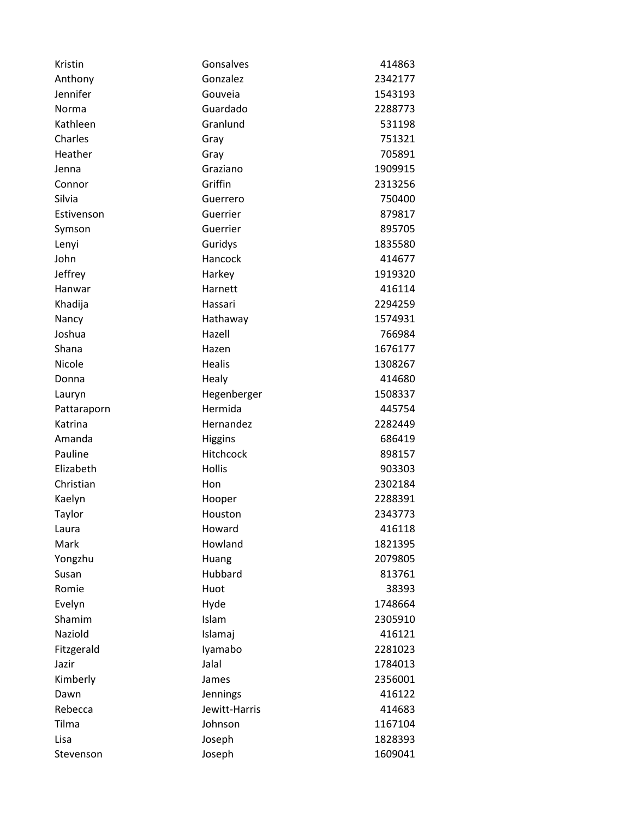| Kristin     | Gonsalves     | 414863  |
|-------------|---------------|---------|
| Anthony     | Gonzalez      | 2342177 |
| Jennifer    | Gouveia       | 1543193 |
| Norma       | Guardado      | 2288773 |
| Kathleen    | Granlund      | 531198  |
| Charles     | Gray          | 751321  |
| Heather     | Gray          | 705891  |
| Jenna       | Graziano      | 1909915 |
| Connor      | Griffin       | 2313256 |
| Silvia      | Guerrero      | 750400  |
| Estivenson  | Guerrier      | 879817  |
| Symson      | Guerrier      | 895705  |
| Lenyi       | Guridys       | 1835580 |
| John        | Hancock       | 414677  |
| Jeffrey     | Harkey        | 1919320 |
| Hanwar      | Harnett       | 416114  |
| Khadija     | Hassari       | 2294259 |
| Nancy       | Hathaway      | 1574931 |
| Joshua      | Hazell        | 766984  |
| Shana       | Hazen         | 1676177 |
| Nicole      | <b>Healis</b> | 1308267 |
| Donna       | Healy         | 414680  |
| Lauryn      | Hegenberger   | 1508337 |
| Pattaraporn | Hermida       | 445754  |
| Katrina     | Hernandez     | 2282449 |
| Amanda      | Higgins       | 686419  |
| Pauline     | Hitchcock     | 898157  |
| Elizabeth   | Hollis        | 903303  |
| Christian   | Hon           | 2302184 |
| Kaelyn      | Hooper        | 2288391 |
| Taylor      | Houston       | 2343773 |
| Laura       | Howard        | 416118  |
| Mark        | Howland       | 1821395 |
| Yongzhu     | Huang         | 2079805 |
| Susan       | Hubbard       | 813761  |
| Romie       | Huot          | 38393   |
| Evelyn      | Hyde          | 1748664 |
| Shamim      | Islam         | 2305910 |
| Naziold     | Islamaj       | 416121  |
| Fitzgerald  | Iyamabo       | 2281023 |
| Jazir       | Jalal         | 1784013 |
| Kimberly    | James         | 2356001 |
| Dawn        | Jennings      | 416122  |
| Rebecca     | Jewitt-Harris | 414683  |
| Tilma       | Johnson       | 1167104 |
| Lisa        | Joseph        | 1828393 |
| Stevenson   | Joseph        | 1609041 |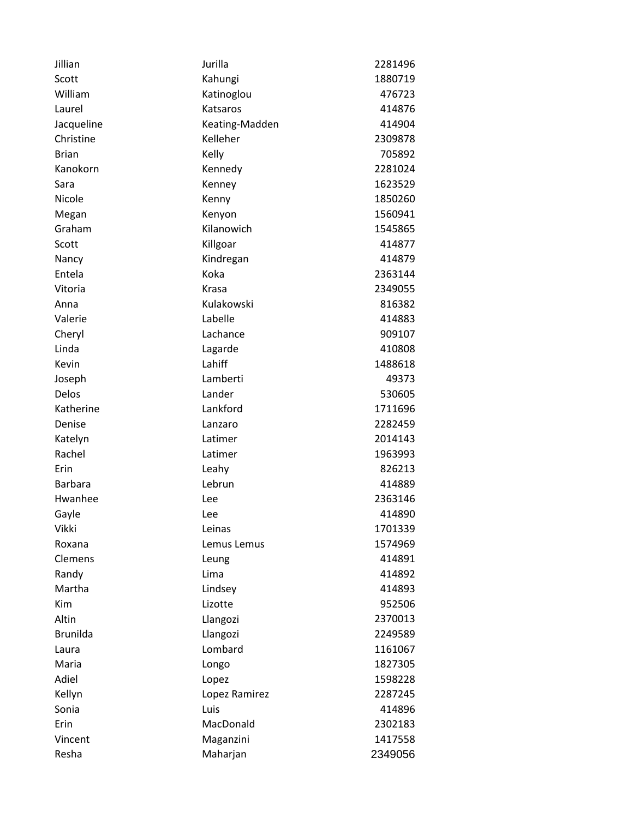| Jillian         | Jurilla        | 2281496 |
|-----------------|----------------|---------|
| Scott           | Kahungi        | 1880719 |
| William         | Katinoglou     | 476723  |
| Laurel          | Katsaros       | 414876  |
| Jacqueline      | Keating-Madden | 414904  |
| Christine       | Kelleher       | 2309878 |
| <b>Brian</b>    | Kelly          | 705892  |
| Kanokorn        | Kennedy        | 2281024 |
| Sara            | Kenney         | 1623529 |
| Nicole          | Kenny          | 1850260 |
| Megan           | Kenyon         | 1560941 |
| Graham          | Kilanowich     | 1545865 |
| Scott           | Killgoar       | 414877  |
| Nancy           | Kindregan      | 414879  |
| Entela          | Koka           | 2363144 |
| Vitoria         | Krasa          | 2349055 |
| Anna            | Kulakowski     | 816382  |
| Valerie         | Labelle        | 414883  |
| Cheryl          | Lachance       | 909107  |
| Linda           | Lagarde        | 410808  |
| Kevin           | Lahiff         | 1488618 |
| Joseph          | Lamberti       | 49373   |
| Delos           | Lander         | 530605  |
| Katherine       | Lankford       | 1711696 |
| Denise          | Lanzaro        | 2282459 |
| Katelyn         | Latimer        | 2014143 |
| Rachel          | Latimer        | 1963993 |
| Erin            | Leahy          | 826213  |
| <b>Barbara</b>  | Lebrun         | 414889  |
| Hwanhee         | Lee            | 2363146 |
| Gayle           | Lee            | 414890  |
| <b>Vikki</b>    | Leinas         | 1701339 |
| Roxana          | Lemus Lemus    | 1574969 |
| Clemens         | Leung          | 414891  |
| Randy           | Lima           | 414892  |
| Martha          | Lindsey        | 414893  |
| <b>Kim</b>      | Lizotte        | 952506  |
| Altin           | Llangozi       | 2370013 |
| <b>Brunilda</b> | Llangozi       | 2249589 |
| Laura           | Lombard        | 1161067 |
| Maria           | Longo          | 1827305 |
| Adiel           | Lopez          | 1598228 |
| Kellyn          | Lopez Ramirez  | 2287245 |
| Sonia           | Luis           | 414896  |
| Erin            | MacDonald      | 2302183 |
| Vincent         | Maganzini      | 1417558 |
| Resha           | Maharjan       | 2349056 |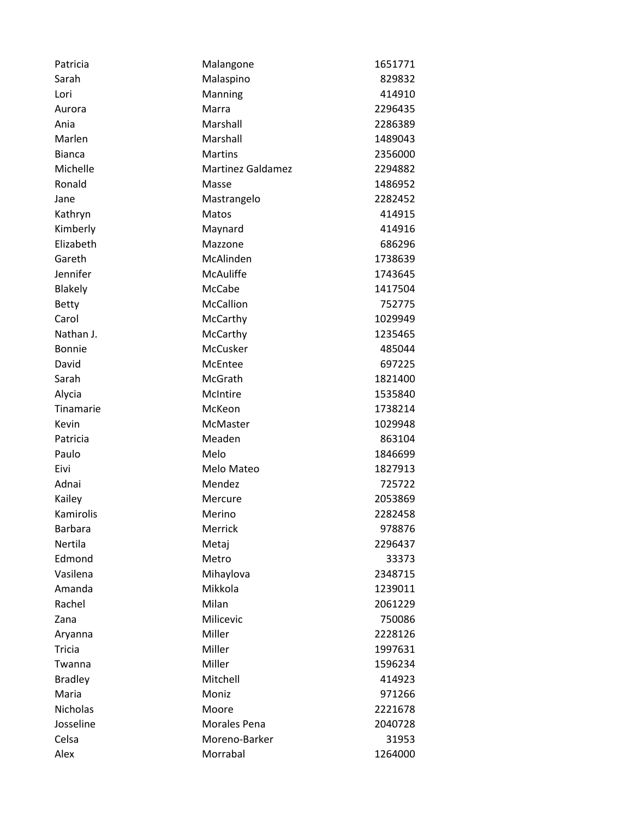| Patricia        | Malangone                | 1651771 |
|-----------------|--------------------------|---------|
| Sarah           | Malaspino                | 829832  |
| Lori            | Manning                  | 414910  |
| Aurora          | Marra                    | 2296435 |
| Ania            | Marshall                 | 2286389 |
| Marlen          | Marshall                 | 1489043 |
| <b>Bianca</b>   | <b>Martins</b>           | 2356000 |
| Michelle        | <b>Martinez Galdamez</b> | 2294882 |
| Ronald          | Masse                    | 1486952 |
| Jane            | Mastrangelo              | 2282452 |
| Kathryn         | Matos                    | 414915  |
| Kimberly        | Maynard                  | 414916  |
| Elizabeth       | Mazzone                  | 686296  |
| Gareth          | McAlinden                | 1738639 |
| Jennifer        | <b>McAuliffe</b>         | 1743645 |
| <b>Blakely</b>  | <b>McCabe</b>            | 1417504 |
| <b>Betty</b>    | McCallion                | 752775  |
| Carol           | McCarthy                 | 1029949 |
| Nathan J.       | McCarthy                 | 1235465 |
| <b>Bonnie</b>   | McCusker                 | 485044  |
| David           | McEntee                  | 697225  |
| Sarah           | McGrath                  | 1821400 |
| Alycia          | McIntire                 | 1535840 |
| Tinamarie       | McKeon                   | 1738214 |
| Kevin           | McMaster                 | 1029948 |
| Patricia        | Meaden                   | 863104  |
| Paulo           | Melo                     | 1846699 |
| Eivi            | Melo Mateo               | 1827913 |
| Adnai           | Mendez                   | 725722  |
| Kailey          | Mercure                  | 2053869 |
| Kamirolis       | Merino                   | 2282458 |
| <b>Barbara</b>  | Merrick                  | 978876  |
| Nertila         | Metaj                    | 2296437 |
| Edmond          | Metro                    | 33373   |
| Vasilena        | Mihaylova                | 2348715 |
| Amanda          | Mikkola                  | 1239011 |
| Rachel          | Milan                    | 2061229 |
| Zana            | Milicevic                | 750086  |
| Aryanna         | Miller                   | 2228126 |
| Tricia          | Miller                   | 1997631 |
| Twanna          | Miller                   | 1596234 |
| <b>Bradley</b>  | Mitchell                 | 414923  |
| Maria           | Moniz                    | 971266  |
| <b>Nicholas</b> | Moore                    | 2221678 |
| Josseline       | Morales Pena             | 2040728 |
| Celsa           | Moreno-Barker            | 31953   |
| Alex            | Morrabal                 | 1264000 |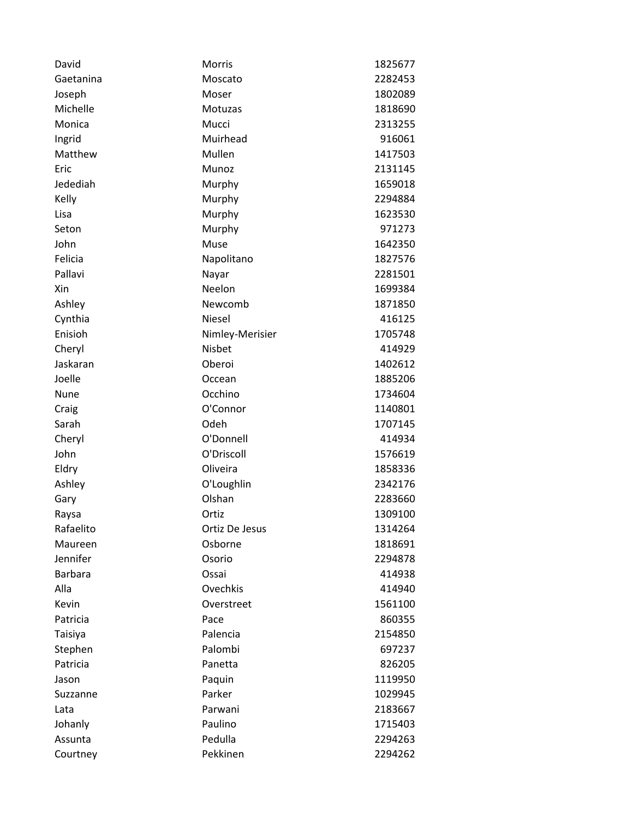| David          | <b>Morris</b>   | 1825677 |
|----------------|-----------------|---------|
| Gaetanina      | Moscato         | 2282453 |
| Joseph         | Moser           | 1802089 |
| Michelle       | <b>Motuzas</b>  | 1818690 |
| Monica         | Mucci           | 2313255 |
| Ingrid         | Muirhead        | 916061  |
| Matthew        | Mullen          | 1417503 |
| Eric           | Munoz           | 2131145 |
| Jedediah       | Murphy          | 1659018 |
| Kelly          | Murphy          | 2294884 |
| Lisa           | Murphy          | 1623530 |
| Seton          | Murphy          | 971273  |
| John           | Muse            | 1642350 |
| Felicia        | Napolitano      | 1827576 |
| Pallavi        | Nayar           | 2281501 |
| Xin            | Neelon          | 1699384 |
| Ashley         | Newcomb         | 1871850 |
| Cynthia        | <b>Niesel</b>   | 416125  |
| Enisioh        | Nimley-Merisier | 1705748 |
| Cheryl         | Nisbet          | 414929  |
| Jaskaran       | Oberoi          | 1402612 |
| Joelle         | Occean          | 1885206 |
| Nune           | Occhino         | 1734604 |
| Craig          | O'Connor        | 1140801 |
| Sarah          | Odeh            | 1707145 |
| Cheryl         | O'Donnell       | 414934  |
| John           | O'Driscoll      | 1576619 |
| Eldry          | Oliveira        | 1858336 |
| Ashley         | O'Loughlin      | 2342176 |
| Gary           | Olshan          | 2283660 |
| Raysa          | Ortiz           | 1309100 |
| Rafaelito      | Ortiz De Jesus  | 1314264 |
| Maureen        | Osborne         | 1818691 |
| Jennifer       | Osorio          | 2294878 |
| <b>Barbara</b> | Ossai           | 414938  |
| Alla           | Ovechkis        | 414940  |
| Kevin          | Overstreet      | 1561100 |
| Patricia       | Pace            | 860355  |
| Taisiya        | Palencia        | 2154850 |
| Stephen        | Palombi         | 697237  |
| Patricia       | Panetta         | 826205  |
| Jason          | Paquin          | 1119950 |
| Suzzanne       | Parker          | 1029945 |
| Lata           | Parwani         | 2183667 |
| Johanly        | Paulino         | 1715403 |
| Assunta        | Pedulla         | 2294263 |
| Courtney       | Pekkinen        | 2294262 |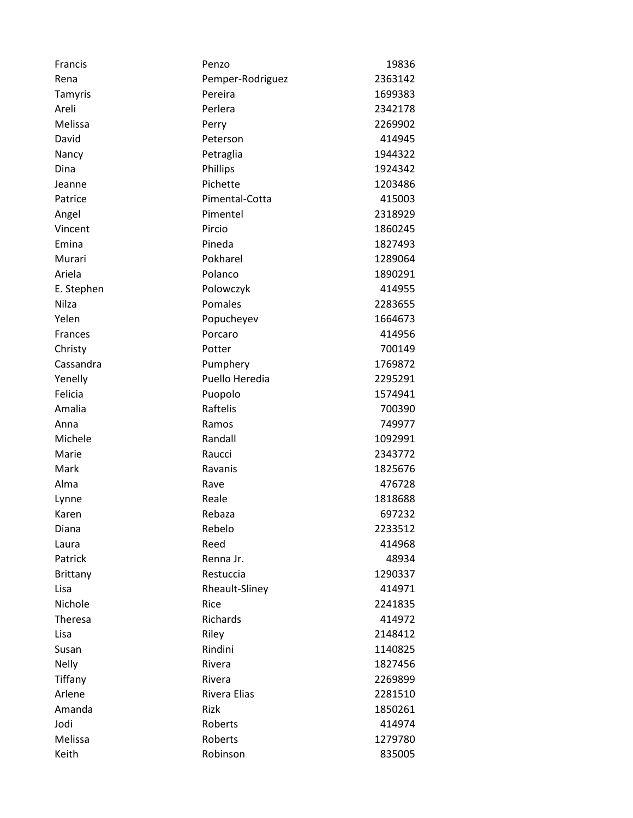| Francis         | Penzo            | 19836   |
|-----------------|------------------|---------|
| Rena            | Pemper-Rodriguez | 2363142 |
| Tamyris         | Pereira          | 1699383 |
| Areli           | Perlera          | 2342178 |
| Melissa         | Perry            | 2269902 |
| David           | Peterson         | 414945  |
| Nancy           | Petraglia        | 1944322 |
| Dina            | Phillips         | 1924342 |
| Jeanne          | Pichette         | 1203486 |
| Patrice         | Pimental-Cotta   | 415003  |
| Angel           | Pimentel         | 2318929 |
| Vincent         | Pircio           | 1860245 |
| Emina           | Pineda           | 1827493 |
| Murari          | Pokharel         | 1289064 |
| Ariela          | Polanco          | 1890291 |
| E. Stephen      | Polowczyk        | 414955  |
| Nilza           | Pomales          | 2283655 |
| Yelen           | Popucheyev       | 1664673 |
| Frances         | Porcaro          | 414956  |
| Christy         | Potter           | 700149  |
| Cassandra       | Pumphery         | 1769872 |
| Yenelly         | Puello Heredia   | 2295291 |
| Felicia         | Puopolo          | 1574941 |
| Amalia          | Raftelis         | 700390  |
| Anna            | Ramos            | 749977  |
| Michele         | Randall          | 1092991 |
| Marie           | Raucci           | 2343772 |
| Mark            | Ravanis          | 1825676 |
| Alma            | Rave             | 476728  |
| Lynne           | Reale            | 1818688 |
| Karen           | Rebaza           | 697232  |
| Diana           | Rebelo           | 2233512 |
| Laura           | Reed             | 414968  |
| Patrick         | Renna Jr.        | 48934   |
| <b>Brittany</b> | Restuccia        | 1290337 |
| Lisa            | Rheault-Sliney   | 414971  |
| Nichole         | Rice             | 2241835 |
| Theresa         | Richards         | 414972  |
| Lisa            | Riley            | 2148412 |
| Susan           | Rindini          | 1140825 |
| <b>Nelly</b>    | Rivera           | 1827456 |
| Tiffany         | Rivera           | 2269899 |
| Arlene          | Rivera Elias     | 2281510 |
| Amanda          | Rizk             | 1850261 |
| Jodi            | Roberts          | 414974  |
| Melissa         | Roberts          | 1279780 |
| Keith           | Robinson         | 835005  |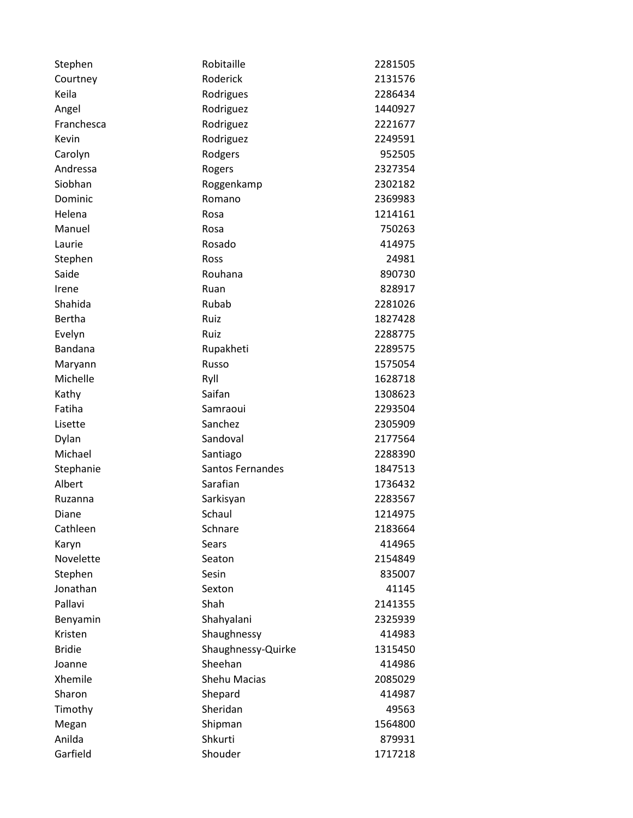| Stephen       | Robitaille         | 2281505 |
|---------------|--------------------|---------|
| Courtney      | Roderick           | 2131576 |
| Keila         | Rodrigues          | 2286434 |
| Angel         | Rodriguez          | 1440927 |
| Franchesca    | Rodriguez          | 2221677 |
| Kevin         | Rodriguez          | 2249591 |
| Carolyn       | Rodgers            | 952505  |
| Andressa      | Rogers             | 2327354 |
| Siobhan       | Roggenkamp         | 2302182 |
| Dominic       | Romano             | 2369983 |
| Helena        | Rosa               | 1214161 |
| Manuel        | Rosa               | 750263  |
| Laurie        | Rosado             | 414975  |
| Stephen       | Ross               | 24981   |
| Saide         | Rouhana            | 890730  |
| Irene         | Ruan               | 828917  |
| Shahida       | Rubab              | 2281026 |
| <b>Bertha</b> | Ruiz               | 1827428 |
| Evelyn        | Ruiz               | 2288775 |
| Bandana       | Rupakheti          | 2289575 |
| Maryann       | Russo              | 1575054 |
| Michelle      | Ryll               | 1628718 |
| Kathy         | Saifan             | 1308623 |
| Fatiha        | Samraoui           | 2293504 |
| Lisette       | Sanchez            | 2305909 |
| Dylan         | Sandoval           | 2177564 |
| Michael       | Santiago           | 2288390 |
| Stephanie     | Santos Fernandes   | 1847513 |
| Albert        | Sarafian           | 1736432 |
| Ruzanna       | Sarkisyan          | 2283567 |
| Diane         | Schaul             | 1214975 |
| Cathleen      | Schnare            | 2183664 |
| Karyn         | Sears              | 414965  |
| Novelette     | Seaton             | 2154849 |
| Stephen       | Sesin              | 835007  |
| Jonathan      | Sexton             | 41145   |
| Pallavi       | Shah               | 2141355 |
| Benyamin      | Shahyalani         | 2325939 |
| Kristen       | Shaughnessy        | 414983  |
| <b>Bridie</b> | Shaughnessy-Quirke | 1315450 |
| Joanne        | Sheehan            | 414986  |
| Xhemile       | Shehu Macias       | 2085029 |
| Sharon        | Shepard            | 414987  |
| Timothy       | Sheridan           | 49563   |
| Megan         | Shipman            | 1564800 |
| Anilda        | Shkurti            | 879931  |
| Garfield      | Shouder            | 1717218 |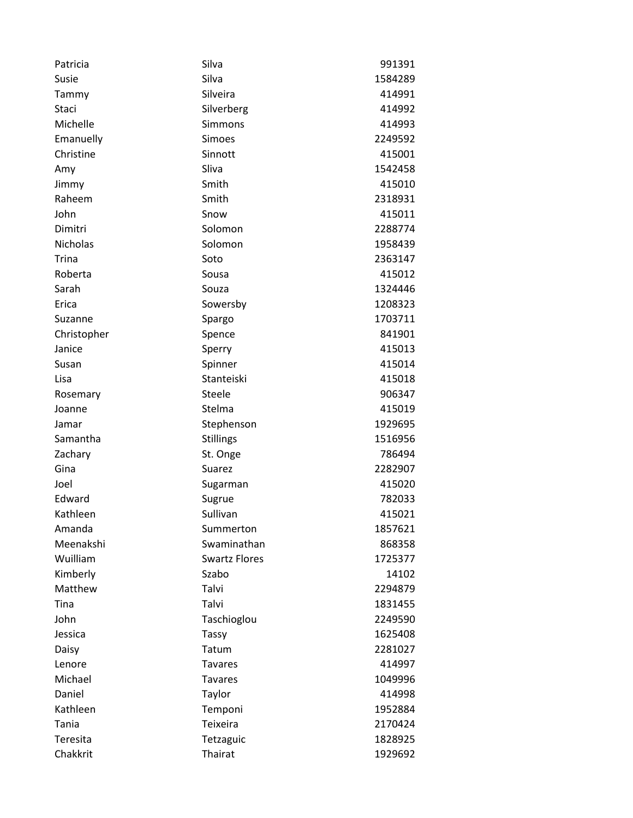| Patricia        | Silva                | 991391  |
|-----------------|----------------------|---------|
| Susie           | Silva                | 1584289 |
| Tammy           | Silveira             | 414991  |
| Staci           | Silverberg           | 414992  |
| Michelle        | Simmons              | 414993  |
| Emanuelly       | Simoes               | 2249592 |
| Christine       | Sinnott              | 415001  |
| Amy             | Sliva                | 1542458 |
| Jimmy           | Smith                | 415010  |
| Raheem          | Smith                | 2318931 |
| John            | Snow                 | 415011  |
| Dimitri         | Solomon              | 2288774 |
| <b>Nicholas</b> | Solomon              | 1958439 |
| <b>Trina</b>    | Soto                 | 2363147 |
| Roberta         | Sousa                | 415012  |
| Sarah           | Souza                | 1324446 |
| Erica           | Sowersby             | 1208323 |
| Suzanne         | Spargo               | 1703711 |
| Christopher     | Spence               | 841901  |
| Janice          | Sperry               | 415013  |
| Susan           | Spinner              | 415014  |
| Lisa            | Stanteiski           | 415018  |
| Rosemary        | Steele               | 906347  |
| Joanne          | Stelma               | 415019  |
| Jamar           | Stephenson           | 1929695 |
| Samantha        | <b>Stillings</b>     | 1516956 |
| Zachary         | St. Onge             | 786494  |
| Gina            | Suarez               | 2282907 |
| Joel            | Sugarman             | 415020  |
| Edward          | Sugrue               | 782033  |
| Kathleen        | Sullivan             | 415021  |
| Amanda          | Summerton            | 1857621 |
| Meenakshi       | Swaminathan          | 868358  |
| Wuilliam        | <b>Swartz Flores</b> | 1725377 |
| Kimberly        | Szabo                | 14102   |
| Matthew         | Talvi                | 2294879 |
| Tina            | Talvi                | 1831455 |
| John            | Taschioglou          | 2249590 |
| Jessica         | <b>Tassy</b>         | 1625408 |
| Daisy           | Tatum                | 2281027 |
| Lenore          | <b>Tavares</b>       | 414997  |
| Michael         | <b>Tavares</b>       | 1049996 |
| Daniel          | Taylor               | 414998  |
| Kathleen        | Temponi              | 1952884 |
| Tania           | Teixeira             | 2170424 |
| Teresita        | Tetzaguic            | 1828925 |
| Chakkrit        | Thairat              | 1929692 |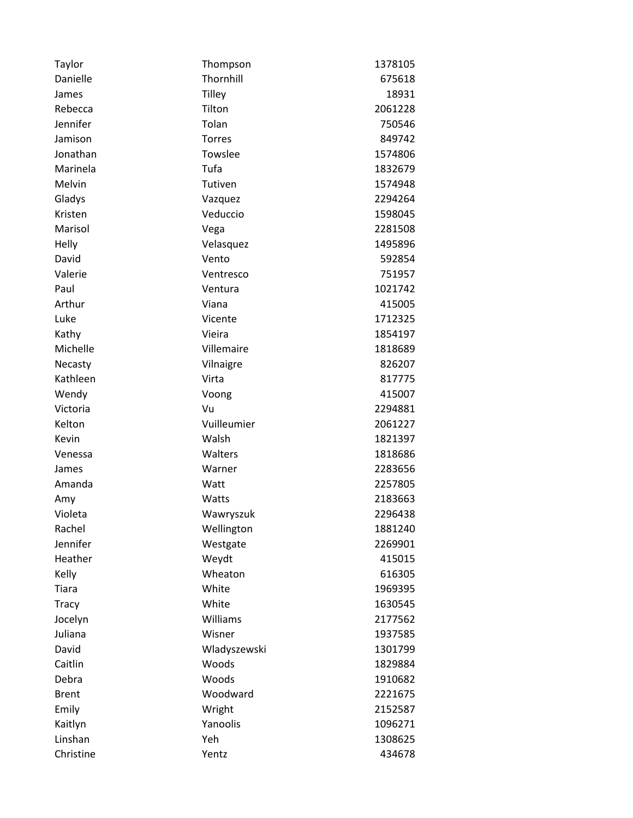| Taylor       | Thompson      | 1378105 |
|--------------|---------------|---------|
| Danielle     | Thornhill     | 675618  |
| James        | <b>Tilley</b> | 18931   |
| Rebecca      | Tilton        | 2061228 |
| Jennifer     | Tolan         | 750546  |
| Jamison      | <b>Torres</b> | 849742  |
| Jonathan     | Towslee       | 1574806 |
| Marinela     | Tufa          | 1832679 |
| Melvin       | Tutiven       | 1574948 |
| Gladys       | Vazquez       | 2294264 |
| Kristen      | Veduccio      | 1598045 |
| Marisol      | Vega          | 2281508 |
| Helly        | Velasquez     | 1495896 |
| David        | Vento         | 592854  |
| Valerie      | Ventresco     | 751957  |
| Paul         | Ventura       | 1021742 |
| Arthur       | Viana         | 415005  |
| Luke         | Vicente       | 1712325 |
| Kathy        | Vieira        | 1854197 |
| Michelle     | Villemaire    | 1818689 |
| Necasty      | Vilnaigre     | 826207  |
| Kathleen     | Virta         | 817775  |
| Wendy        | Voong         | 415007  |
| Victoria     | Vu            | 2294881 |
| Kelton       | Vuilleumier   | 2061227 |
| Kevin        | Walsh         | 1821397 |
| Venessa      | Walters       | 1818686 |
| James        | Warner        | 2283656 |
| Amanda       | Watt          | 2257805 |
| Amy          | Watts         | 2183663 |
| Violeta      | Wawryszuk     | 2296438 |
| Rachel       | Wellington    | 1881240 |
| Jennifer     | Westgate      | 2269901 |
| Heather      | Weydt         | 415015  |
| Kelly        | Wheaton       | 616305  |
| Tiara        | White         | 1969395 |
| <b>Tracy</b> | White         | 1630545 |
| Jocelyn      | Williams      | 2177562 |
| Juliana      | Wisner        | 1937585 |
| David        | Wladyszewski  | 1301799 |
| Caitlin      | Woods         | 1829884 |
| Debra        | Woods         | 1910682 |
| <b>Brent</b> | Woodward      | 2221675 |
| Emily        | Wright        | 2152587 |
| Kaitlyn      | Yanoolis      | 1096271 |
| Linshan      | Yeh           | 1308625 |
| Christine    | Yentz         | 434678  |